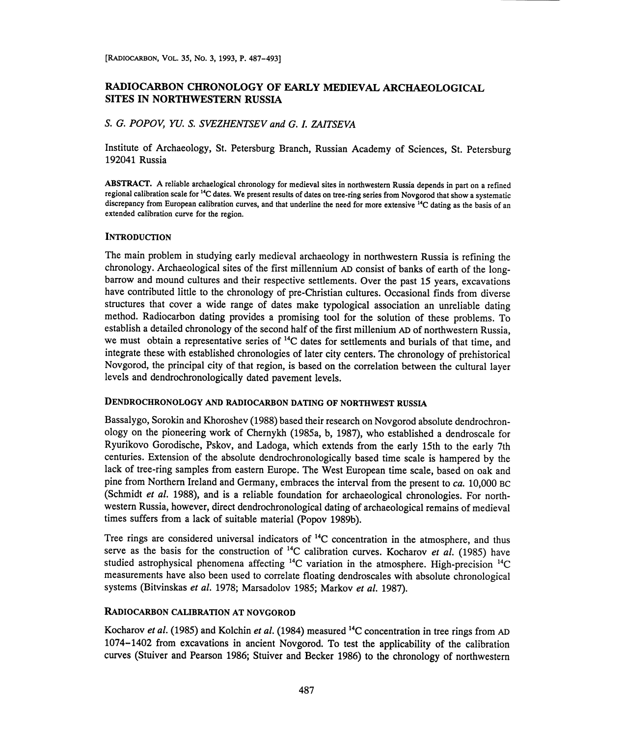# RADIOCARBON CHRONOLOGY OF EARLY MEDIEVAL ARCHAEOLOGICAL SITES IN NORTHWESTERN RUSSIA

## S. G. POPOV, YU. S. SVEZHENTSEV and G. I. ZAITSEVA

Institute of Archaeology, St. Petersburg Branch, Russian Academy of Sciences, St. Petersburg 192041 Russia

ABSTRACT. A reliable archaelogical chronology for medieval sites in northwestern Russia depends in part on a refined regional calibration scale for 14C dates. We present results of dates on tree-ring series from Novgorod that show a systematic discrepancy from European calibration curves, and that underline the need for more extensive <sup>14</sup>C dating as the basis of an extended calibration curve for the region.

### **INTRODUCTION**

The main problem in studying early medieval archaeology in northwestern Russia is refining the chronology. Archaeological sites of the first millennium AD consist of banks of earth of the longbarrow and mound cultures and their respective settlements. Over the past 15 years, excavations have contributed little to the chronology of pre-Christian cultures. Occasional finds from diverse structures that cover a wide range of dates make typological association an unreliable dating method. Radiocarbon dating provides a promising tool for the solution of these problems. To establish a detailed chronology of the second half of the first millenium AD of northwestern Russia, we must obtain a representative series of <sup>14</sup>C dates for settlements and burials of that time, and integrate these with established chronologies of later city centers. The chronology of prehistorical Novgorod, the principal city of that region, is based on the correlation between the cultural layer levels and dendrochronologically dated pavement levels.

### DENDROCHRONOLOGY AND RADIOCARBON DATING OF NORTHWEST RUSSIA

Bassalygo, Sorokin and Khoroshev (1988) based their research on Novgorod absolute dendrochronology on the pioneering work of Chernykh (1985a, b, 1987), who established a dendroscale for Ryurikovo Gorodische, Pskov, and Ladoga, which extends from the early 15th to the early 7th centuries. Extension of the absolute dendrochronologically based time scale is hampered by the lack of tree-ring samples from eastern Europe. The West European time scale, based on oak and pine from Northern Ireland and Germany, embraces the interval from the present to ca. 10,000 BC (Schmidt et al. 1988), and is a reliable foundation for archaeological chronologies. For northwestern Russia, however, direct dendrochronological dating of archaeological remains of medieval times suffers from a lack of suitable material (Popov 1989b).

Tree rings are considered universal indicators of  $^{14}$ C concentration in the atmosphere, and thus serve as the basis for the construction of  $^{14}$ C calibration curves. Kocharov *et al.* (1985) have studied astrophysical phenomena affecting <sup>14</sup>C variation in the atmosphere. High-precision <sup>14</sup>C measurements have also been used to correlate floating dendroscales with absolute chronological systems (Bitvinskas et al. 1978; Marsadolov 1985; Markov et al. 1987).

#### RADIOCARBON CALIBRATION AT NOVGOROD

Kocharov et al. (1985) and Kolchin et al. (1984) measured <sup>14</sup>C concentration in tree rings from AD 1074-1402 from excavations in ancient Novgorod. To test the applicability of the calibration curves (Stuiver and Pearson 1986; Stuiver and Becker 1986) to the chronology of northwestern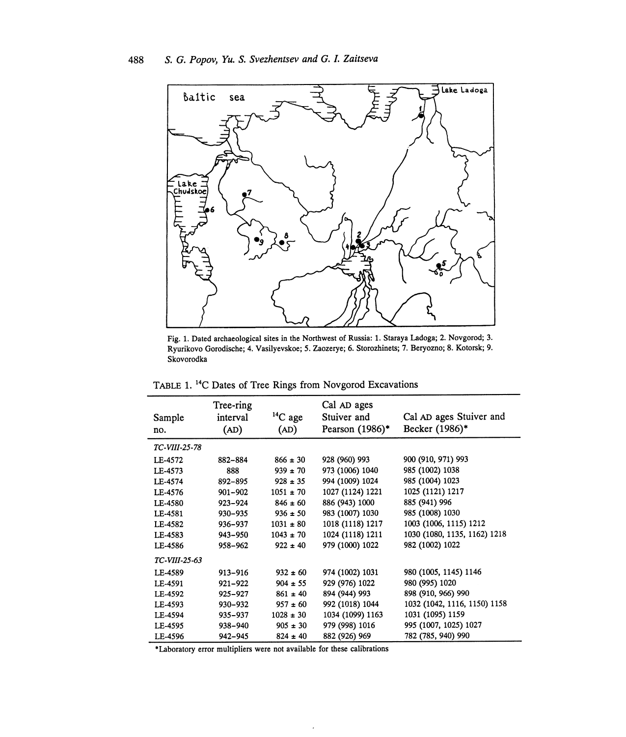

Fig. 1. Dated archaeological sites in the Northwest of Russia: 1. Staraya Ladoga; 2. Novgorod; 3. Ryurikovo Gorodische; 4. Vasilyevskoe; 5. Zaozerye; 6. Storozhinets; 7. Beryozno; 8. Kotorsk; 9. Skovorodka

TABLE 1.<sup>14</sup>C Dates of Tree Rings from Novgorod Excavations

| Sample<br>no. | Tree-ring<br>interval<br>(AD) | $14C$ age<br>(AD) | Cal AD ages<br>Stuiver and<br>Pearson (1986)* | Cal AD ages Stuiver and<br>Becker (1986)* |
|---------------|-------------------------------|-------------------|-----------------------------------------------|-------------------------------------------|
| TC-VIII-25-78 |                               |                   |                                               |                                           |
| LE-4572       | 882-884                       | $866 \pm 30$      | 928 (960) 993                                 | 900 (910, 971) 993                        |
| LE-4573       | 888                           | $939 \pm 70$      | 973 (1006) 1040                               | 985 (1002) 1038                           |
| LE-4574       | 892-895                       | $928 \pm 35$      | 994 (1009) 1024                               | 985 (1004) 1023                           |
| LE-4576       | $901 - 902$                   | $1051 \pm 70$     | 1027 (1124) 1221                              | 1025 (1121) 1217                          |
| LE-4580       | $923 - 924$                   | $846 \pm 60$      | 886 (943) 1000                                | 885 (941) 996                             |
| LE-4581       | 930-935                       | $936 \pm 50$      | 983 (1007) 1030                               | 985 (1008) 1030                           |
| LE-4582       | 936-937                       | $1031 \pm 80$     | 1018 (1118) 1217                              | 1003 (1006, 1115) 1212                    |
| LE-4583       | 943-950                       | $1043 \pm 70$     | 1024 (1118) 1211                              | 1030 (1080, 1135, 1162) 1218              |
| LE-4586       | 958-962                       | $922 \pm 40$      | 979 (1000) 1022                               | 982 (1002) 1022                           |
| TC-VIII-25-63 |                               |                   |                                               |                                           |
| LE-4589       | 913-916                       | $932 \pm 60$      | 974 (1002) 1031                               | 980 (1005, 1145) 1146                     |
| LE-4591       | $921 - 922$                   | $904 \pm 55$      | 929 (976) 1022                                | 980 (995) 1020                            |
| LE-4592       | 925-927                       | $861 \pm 40$      | 894 (944) 993                                 | 898 (910, 966) 990                        |
| LE-4593       | 930-932                       | $957 \pm 60$      | 992 (1018) 1044                               | 1032 (1042, 1116, 1150) 1158              |
| LE-4594       | 935-937                       | $1028 \pm 30$     | 1034 (1099) 1163                              | 1031 (1095) 1159                          |
| LE-4595       | 938-940                       | $905 \pm 30$      | 979 (998) 1016                                | 995 (1007, 1025) 1027                     |
| LE-4596       | 942-945                       | $824 \pm 40$      | 882 (926) 969                                 | 782 (785, 940) 990                        |

\*Laboratory error multipliers were not available for these calibrations

 $\overline{\phantom{a}}$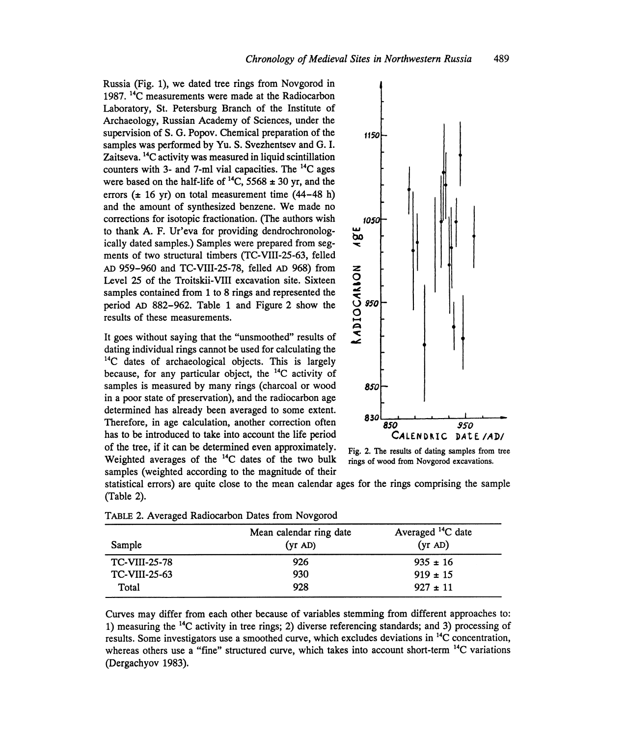Russia (Fig. 1), we dated tree rings from Novgorod in 1987.<sup>14</sup>C measurements were made at the Radiocarbon Laboratory, St. Petersburg Branch of the Institute of Archaeology, Russian Academy of Sciences, under the supervision of S. G. Popov. Chemical preparation of the samples was performed by Yu. S. Svezhentsev and G. I. Zaitseva.<sup>14</sup>C activity was measured in liquid scintillation counters with 3- and 7-ml vial capacities. The 14C ages were based on the half-life of  $^{14}C$ , 5568  $\pm$  30 yr, and the errors ( $\pm$  16 yr) on total measurement time (44-48 h) and the amount of synthesized benzene. We made no corrections for isotopic fractionation. (The authors wish to thank A. F. Ur'eva for providing dendrochronologically dated samples.) Samples were prepared from segments of two structural timbers (TC-VIII-25-63, felled AD 959-960 and TC-VIII-25-78, felled AD 968) from Level 25 of the Troitskii-VIII excavation site. Sixteen samples contained from 1 to 8 rings and represented the period AD 882-962. Table 1 and Figure 2 show the results of these measurements.

It goes without saying that the "unsmoothed" results of dating individual rings cannot be used for calculating the <sup>14</sup>C dates of archaeological objects. This is largely because, for any particular object, the 14C activity of samples is measured by many rings (charcoal or wood 850 in a poor state of preservation), and the radiocarbon age determined has already been averaged to some extent. Therefore, in age calculation, another correction often 830<br>has to be introduced to take into account the life period CALENDRIC DALE /AD/ has to be introduced to take into account the life period of the tree, if it can be determined even approximately. Fig. 2. The results of dating samples from tree Weighted averages of the  $^{14}C$  dates of the two bulk rings of wood from Novgorod excavations. Weighted averages of the  $<sup>14</sup>C$  dates of the two bulk</sup> samples (weighted according to the magnitude of their



statistical errors) are quite close to the mean calendar ages for the rings comprising the sample (Table 2).

| Sample               | Mean calendar ring date<br>(yr AD) | Averaged <sup>14</sup> C date<br>(yr AD) |
|----------------------|------------------------------------|------------------------------------------|
| <b>TC-VIII-25-78</b> | 926                                | $935 \pm 16$                             |
| <b>TC-VIII-25-63</b> | 930                                | $919 \pm 15$                             |
| Total                | 928                                | $927 \pm 11$                             |

TABLE 2. Averaged Radiocarbon Dates from Novgorod

Curves may differ from each other because of variables stemming from different approaches to: 1) measuring the 14C activity in tree rings; 2) diverse referencing standards; and 3) processing of results. Some investigators use a smoothed curve, which excludes deviations in 14C concentration, whereas others use a "fine" structured curve, which takes into account short-term <sup>14</sup>C variations (Dergachyov 1983).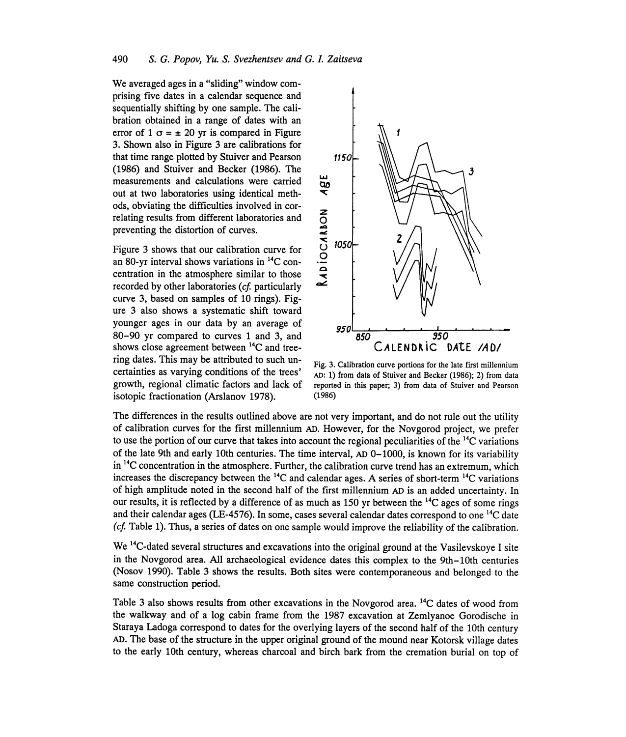We averaged ages in a "sliding" window comprising five dates in a calendar sequence and sequentially shifting by one sample. The calibration obtained in a range of dates with an error of 1  $\sigma = \pm 20$  yr is compared in Figure 3. Shown also in Figure 3 are calibrations for that time range plotted by Stuiver and Pearson 1150 (1986) and Stuiver and Becker (1986). The<br>measurements and calculations were carried<br>out at two laboratories using identical methmeasurements and calculations were carried out at two laboratories using identical methods, obviating the difficulties involved in cor-

Figure 3 shows that our calibration curves and<br>Figure 3 shows that our calibration curve for<br>an 80-yr interval shows variations in <sup>14</sup>C con-<br>centration in the atmosphere similar to those<br>recorded by other laboratories (o Figure 3 shows that our calibration curve for  $\bigcirc$  1050 an 80-yr interval shows variations in <sup>14</sup>C concentration in the atmosphere similar to those recorded by other laboratories (cf. particularly curve 3, based on samples of 10 rings). Figure 3 also shows a systematic shift toward shows close agreement between  ${}^{14}C$  and tree-<br>ring dates. This may be attributed to such unisotopic fractionation (Arslanov 1978). (1986)



Fig. 3. Calibration curve portions for the late first millennium certainties as varying conditions of the trees' AD: 1) from data of Stuiver and Becker (1986); 2) from data growth, regional climatic factors and lack of reported in this paper; 3) from data of Stuiver and Pearson

The differences in the results outlined above are not very important, and do not rule out the utility of calibration curves for the first millennium AD. However, for the Novgorod project, we prefer to use the portion of our curve that takes into account the regional peculiarities of the  $^{14}$ C variations of the late 9th and early 10th centuries. The time interval, AD 0-1000, is known for its variability  $\ln$ <sup>14</sup>C concentration in the atmosphere. Further, the calibration curve trend has an extremum, which increases the discrepancy between the  $^{14}$ C and calendar ages. A series of short-term  $^{14}$ C variations of high amplitude noted in the second half of the first millennium AD is an added uncertainty. In our results, it is reflected by a difference of as much as  $150$  yr between the <sup>14</sup>C ages of some rings and their calendar ages (LE-4576). In some, cases several calendar dates correspond to one 14C date  $(cf. Table 1)$ . Thus, a series of dates on one sample would improve the reliability of the calibration.

We <sup>14</sup>C-dated several structures and excavations into the original ground at the Vasilevskoye I site in the Novgorod area. All archaeological evidence dates this complex to the 9th-10th centuries (Nosov 1990). Table 3 shows the results. Both sites were contemporaneous and belonged to the same construction period.

Table 3 also shows results from other excavations in the Novgorod area. <sup>14</sup>C dates of wood from the walkway and of a log cabin frame from the 1987 excavation at Zemlyanoe Gorodische in Staraya Ladoga correspond to dates for the overlying layers of the second half of the 10th century AD. The base of the structure in the upper original ground of the mound near Kotorsk village dates to the early 10th century, whereas charcoal and birch bark from the cremation burial on top of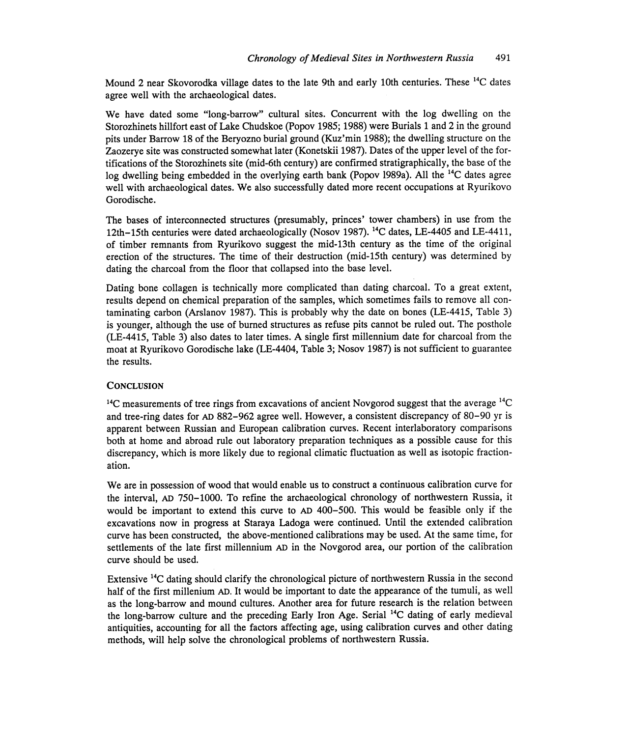Mound 2 near Skovorodka village dates to the late 9th and early 10th centuries. These <sup>14</sup>C dates agree well with the archaeological dates.

We have dated some "long-barrow" cultural sites. Concurrent with the log dwelling on the Storozhinets hillfort east of Lake Chudskoe (Popov 1985;1988) were Burials 1 and 2 in the ground pits under Barrow 18 of the Beryozno burial ground (Kuz'min 1988); the dwelling structure on the Zaozerye site was constructed somewhat later (Konetskii 1987). Dates of the upper level of the fortifications of the Storozhinets site (mid-6th century) are confirmed stratigraphically, the base of the log dwelling being embedded in the overlying earth bank (Popov 1989a). All the <sup>14</sup>C dates agree well with archaeological dates. We also successfully dated more recent occupations at Ryurikovo Gorodische.

The bases of interconnected structures (presumably, princes' tower chambers) in use from the 12th-15th centuries were dated archaeologically (Nosov 1987).  $^{14}$ C dates, LE-4405 and LE-4411, of timber remnants from Ryurikovo suggest the mid-13th century as the time of the original erection of the structures. The time of their destruction (mid-15th century) was determined by dating the charcoal from the floor that collapsed into the base level.

Dating bone collagen is technically more complicated than dating charcoal. To a great extent, results depend on chemical preparation of the samples, which sometimes fails to remove all contaminating carbon (Arslanov 1987). This is probably why the date on bones (LE-4415, Table 3) is younger, although the use of burned structures as refuse pits cannot be ruled out. The posthole (LE-4415, Table 3) also dates to later times. A single first millennium date for charcoal from the moat at Ryurikovo Gorodische lake (LE-4404, Table 3; Nosov 1987) is not sufficient to guarantee the results.

#### **CONCLUSION**

 $14C$  measurements of tree rings from excavations of ancient Novgorod suggest that the average  $14C$ and tree-ring dates for AD 882-962 agree well. However, a consistent discrepancy of 80-90 yr is apparent between Russian and European calibration curves. Recent interlaboratory comparisons both at home and abroad rule out laboratory preparation techniques as a possible cause for this discrepancy, which is more likely due to regional climatic fluctuation as well as isotopic fractionation.

We are in possession of wood that would enable us to construct a continuous calibration curve for the interval, AD 750-1000. To refine the archaeological chronology of northwestern Russia, it would be important to extend this curve to AD 400-500. This would be feasible only if the excavations now in progress at Staraya Ladoga were continued. Until the extended calibration curve has been constructed, the above-mentioned calibrations may be used. At the same time, for settlements of the late first millennium AD in the Novgorod area, our portion of the calibration curve should be used.

Extensive 14C dating should clarify the chronological picture of northwestern Russia in the second half of the first millenium AD. It would be important to date the appearance of the tumuli, as well as the long-barrow and mound cultures. Another area for future research is the relation between the long-barrow culture and the preceding Early Iron Age. Serial 14C dating of early medieval antiquities, accounting for all the factors affecting age, using calibration curves and other dating methods, will help solve the chronological problems of northwestern Russia.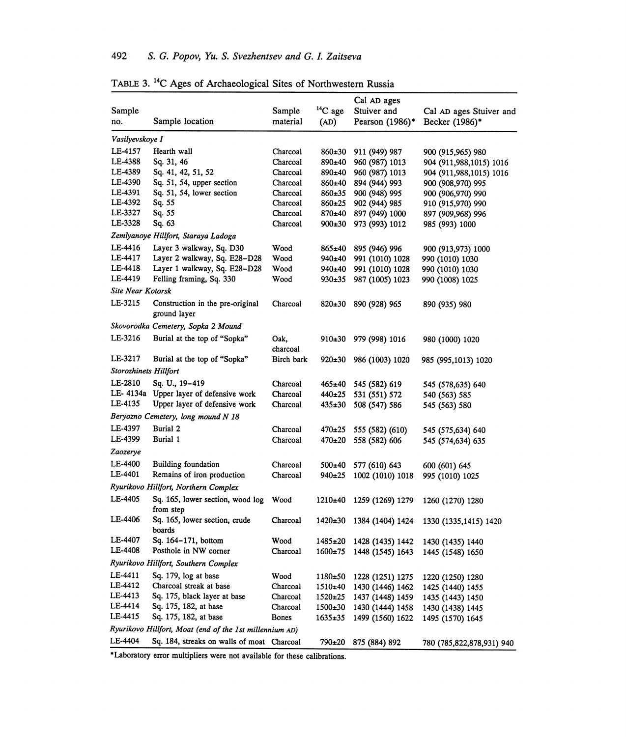| Sample<br>no.                | Sample location                                         | Sample<br>material | $^{14}C$ age<br>(AD) | Cal AD ages<br>Stuiver and<br>Pearson $(1986)^*$ | Cal AD ages Stuiver and<br>Becker (1986)*    |
|------------------------------|---------------------------------------------------------|--------------------|----------------------|--------------------------------------------------|----------------------------------------------|
| Vasilyevskoye I              |                                                         |                    |                      |                                                  |                                              |
| LE-4157                      | Hearth wall                                             | Charcoal           | 860±30               | 911 (949) 987                                    |                                              |
| LE-4388                      | Sq. 31, 46                                              | Charcoal           | 890±40               | 960 (987) 1013                                   | 900 (915,965) 980<br>904 (911,988,1015) 1016 |
| LE-4389                      | Sq. 41, 42, 51, 52                                      | Charcoal           | 890±40               | 960 (987) 1013                                   | 904 (911,988,1015) 1016                      |
| LE-4390                      | Sq. 51, 54, upper section                               | Charcoal           | $860\pm40$           | 894 (944) 993                                    | 900 (908,970) 995                            |
| LE-4391                      | Sq. 51, 54, lower section                               | Charcoal           | $860+35$             | 900 (948) 995                                    | 900 (906,970) 990                            |
| LE-4392                      | Sq. 55                                                  | Charcoal           | 860±25               | 902 (944) 985                                    | 910 (915,970) 990                            |
| LE-3327                      | Sq. 55                                                  | Charcoal           | 870±40               | 897 (949) 1000                                   | 897 (909,968) 996                            |
| LE-3328                      | Sq. 63                                                  | Charcoal           | $900+30$             | 973 (993) 1012                                   | 985 (993) 1000                               |
|                              | Zemlyanoye Hillfort, Staraya Ladoga                     |                    |                      |                                                  |                                              |
| LE-4416                      | Layer 3 walkway, Sq. D30                                | Wood               | 865±40               | 895 (946) 996                                    | 900 (913,973) 1000                           |
| LE-4417                      | Layer 2 walkway, Sq. E28-D28                            | Wood               | 940±40               | 991 (1010) 1028                                  | 990 (1010) 1030                              |
| LE-4418                      | Layer 1 walkway, Sq. E28-D28                            | Wood               | 940±40               | 991 (1010) 1028                                  | 990 (1010) 1030                              |
| LE-4419                      | Felling framing, Sq. 330                                | Wood               | $930+35$             | 987 (1005) 1023                                  | 990 (1008) 1025                              |
| Site Near Kotorsk            |                                                         |                    |                      |                                                  |                                              |
| LE-3215                      | Construction in the pre-original<br>ground layer        | Charcoal           | $820+30$             | 890 (928) 965                                    | 890 (935) 980                                |
|                              | Skovorodka Cemetery, Sopka 2 Mound                      |                    |                      |                                                  |                                              |
| LE-3216                      | Burial at the top of "Sopka"                            | Oak.<br>charcoal   | $910\pm30$           | 979 (998) 1016                                   | 980 (1000) 1020                              |
| LE-3217                      | Burial at the top of "Sopka"                            | Birch bark         | $920\pm30$           | 986 (1003) 1020                                  | 985 (995,1013) 1020                          |
| <b>Storozhinets Hillfort</b> |                                                         |                    |                      |                                                  |                                              |
| LE-2810                      | Sq. U., 19-419                                          | Charcoal           | $465 \pm 40$         | 545 (582) 619                                    | 545 (578,635) 640                            |
|                              | LE-4134a Upper layer of defensive work                  | Charcoal           | 440±25               | 531 (551) 572                                    | 540 (563) 585                                |
| LE-4135                      | Upper layer of defensive work                           | Charcoal           | $435+30$             | 508 (547) 586                                    | 545 (563) 580                                |
|                              | Beryozno Cemetery, long mound N 18                      |                    |                      |                                                  |                                              |
| LE-4397                      | <b>Burial 2</b>                                         | Charcoal           | 470±25               | 555 (582) (610)                                  | 545 (575,634) 640                            |
| LE-4399                      | Burial 1                                                | Charcoal           | 470±20               | 558 (582) 606                                    | 545 (574,634) 635                            |
| Zaozerye                     |                                                         |                    |                      |                                                  |                                              |
| LE-4400                      | Building foundation                                     | Charcoal           | $500 + 40$           | 577 (610) 643                                    | 600 (601) 645                                |
| <b>LE-4401</b>               | Remains of iron production                              | Charcoal           | 940±25               | 1002 (1010) 1018                                 | 995 (1010) 1025                              |
|                              | Ryurikovo Hillfort, Northern Complex                    |                    |                      |                                                  |                                              |
| LE-4405                      | Sq. 165, lower section, wood log<br>from step           | Wood               | $1210\pm 40$         | 1259 (1269) 1279                                 | 1260 (1270) 1280                             |
| LE-4406                      | Sq. 165, lower section, crude<br>boards                 | Charcoal           | $1420\pm30$          | 1384 (1404) 1424                                 | 1330 (1335, 1415) 1420                       |
| LE-4407                      | Sq. 164-171, bottom                                     | Wood               | 1485±20              | 1428 (1435) 1442                                 | 1430 (1435) 1440                             |
| LE-4408                      | Posthole in NW corner                                   | Charcoal           | $1600+75$            | 1448 (1545) 1643                                 | 1445 (1548) 1650                             |
|                              | Ryurikovo Hillfort, Southern Complex                    |                    |                      |                                                  |                                              |
| LE-4411                      | Sq. 179, log at base                                    | Wood               | $1180+50$            | 1228 (1251) 1275                                 | 1220 (1250) 1280                             |
| LE-4412                      | Charcoal streak at base                                 | Charcoal           | $1510+40$            | 1430 (1446) 1462                                 | 1425 (1440) 1455                             |
| LE-4413                      | Sq. 175, black layer at base                            | Charcoal           | $1520+25$            | 1437 (1448) 1459                                 | 1435 (1443) 1450                             |
| LE-4414                      | Sq. 175, 182, at base                                   | Charcoal           | $1500+30$            | 1430 (1444) 1458                                 | 1430 (1438) 1445                             |
| LE-4415                      | Sq. 175, 182, at base                                   | Bones              | $1635 \pm 35$        | 1499 (1560) 1622                                 | 1495 (1570) 1645                             |
|                              | Ryurikovo Hillfort, Moat (end of the 1st millennium AD) |                    |                      |                                                  |                                              |
| LE-4404                      | Sq. 184, streaks on walls of moat Charcoal              |                    | 790±20               | 875 (884) 892                                    | 780 (785,822,878,931) 940                    |

TABLE 3.14C Ages of Archaeological Sites of Northwestern Russia

\*Laboratory error multipliers were not available for these calibrations.